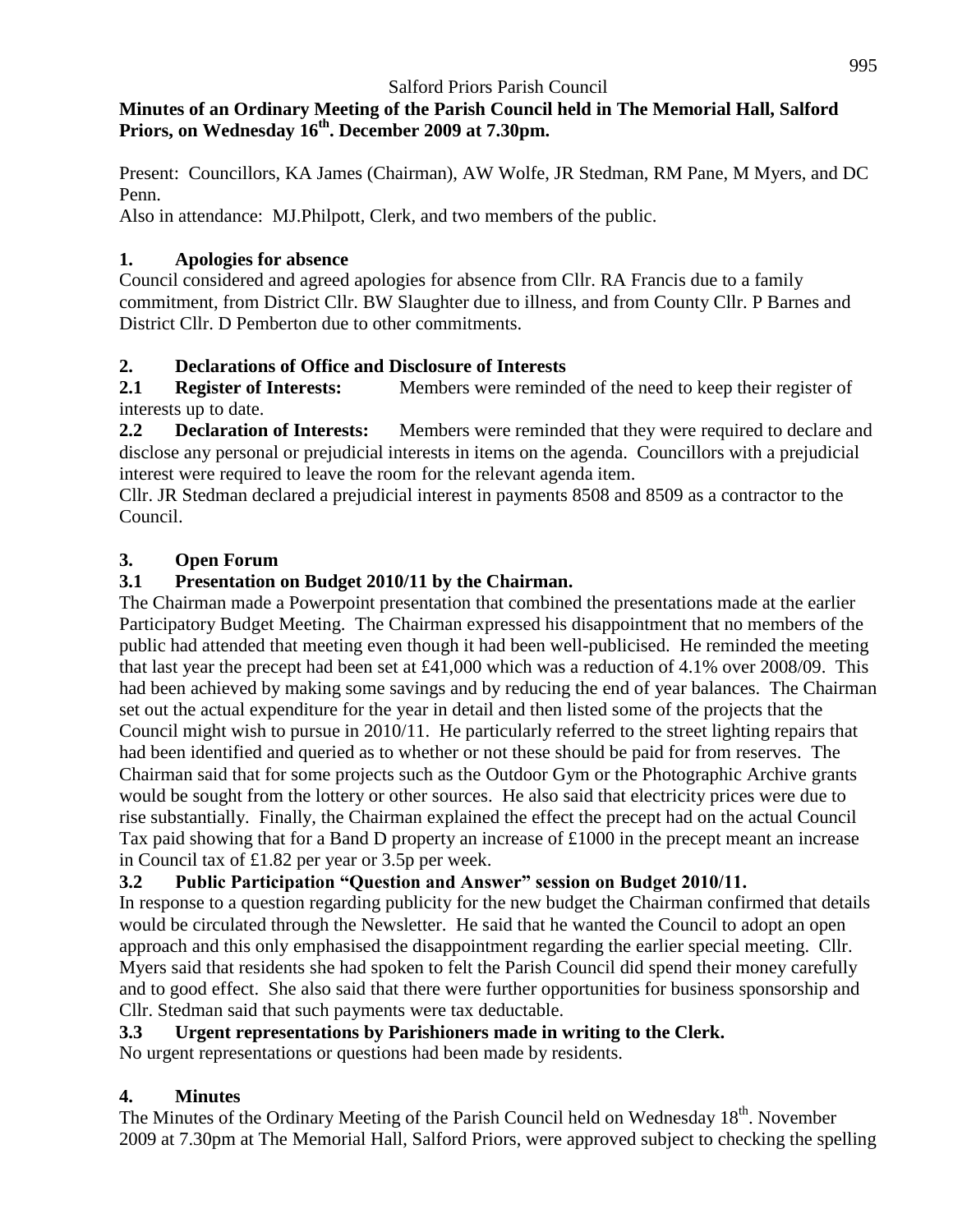### **Minutes of an Ordinary Meeting of the Parish Council held in The Memorial Hall, Salford Priors, on Wednesday 16 th . December 2009 at 7.30pm.**

Present: Councillors, KA James (Chairman), AW Wolfe, JR Stedman, RM Pane, M Myers, and DC Penn.

Also in attendance: MJ.Philpott, Clerk, and two members of the public.

## **1. Apologies for absence**

Council considered and agreed apologies for absence from Cllr. RA Francis due to a family commitment, from District Cllr. BW Slaughter due to illness, and from County Cllr. P Barnes and District Cllr. D Pemberton due to other commitments.

# **2. Declarations of Office and Disclosure of Interests**

**2.1 Register of Interests:** Members were reminded of the need to keep their register of interests up to date.

**2.2 Declaration of Interests:** Members were reminded that they were required to declare and disclose any personal or prejudicial interests in items on the agenda. Councillors with a prejudicial interest were required to leave the room for the relevant agenda item.

Cllr. JR Stedman declared a prejudicial interest in payments 8508 and 8509 as a contractor to the Council.

# **3. Open Forum**

# **3.1 Presentation on Budget 2010/11 by the Chairman.**

The Chairman made a Powerpoint presentation that combined the presentations made at the earlier Participatory Budget Meeting. The Chairman expressed his disappointment that no members of the public had attended that meeting even though it had been well-publicised. He reminded the meeting that last year the precept had been set at £41,000 which was a reduction of 4.1% over 2008/09. This had been achieved by making some savings and by reducing the end of year balances. The Chairman set out the actual expenditure for the year in detail and then listed some of the projects that the Council might wish to pursue in 2010/11. He particularly referred to the street lighting repairs that had been identified and queried as to whether or not these should be paid for from reserves. The Chairman said that for some projects such as the Outdoor Gym or the Photographic Archive grants would be sought from the lottery or other sources. He also said that electricity prices were due to rise substantially. Finally, the Chairman explained the effect the precept had on the actual Council Tax paid showing that for a Band D property an increase of £1000 in the precept meant an increase in Council tax of £1.82 per year or 3.5p per week.

# **3.2 Public Participation "Question and Answer" session on Budget 2010/11.**

In response to a question regarding publicity for the new budget the Chairman confirmed that details would be circulated through the Newsletter. He said that he wanted the Council to adopt an open approach and this only emphasised the disappointment regarding the earlier special meeting. Cllr. Myers said that residents she had spoken to felt the Parish Council did spend their money carefully and to good effect. She also said that there were further opportunities for business sponsorship and Cllr. Stedman said that such payments were tax deductable.

# **3.3 Urgent representations by Parishioners made in writing to the Clerk.**

No urgent representations or questions had been made by residents.

# **4. Minutes**

The Minutes of the Ordinary Meeting of the Parish Council held on Wednesday 18<sup>th</sup>. November 2009 at 7.30pm at The Memorial Hall, Salford Priors, were approved subject to checking the spelling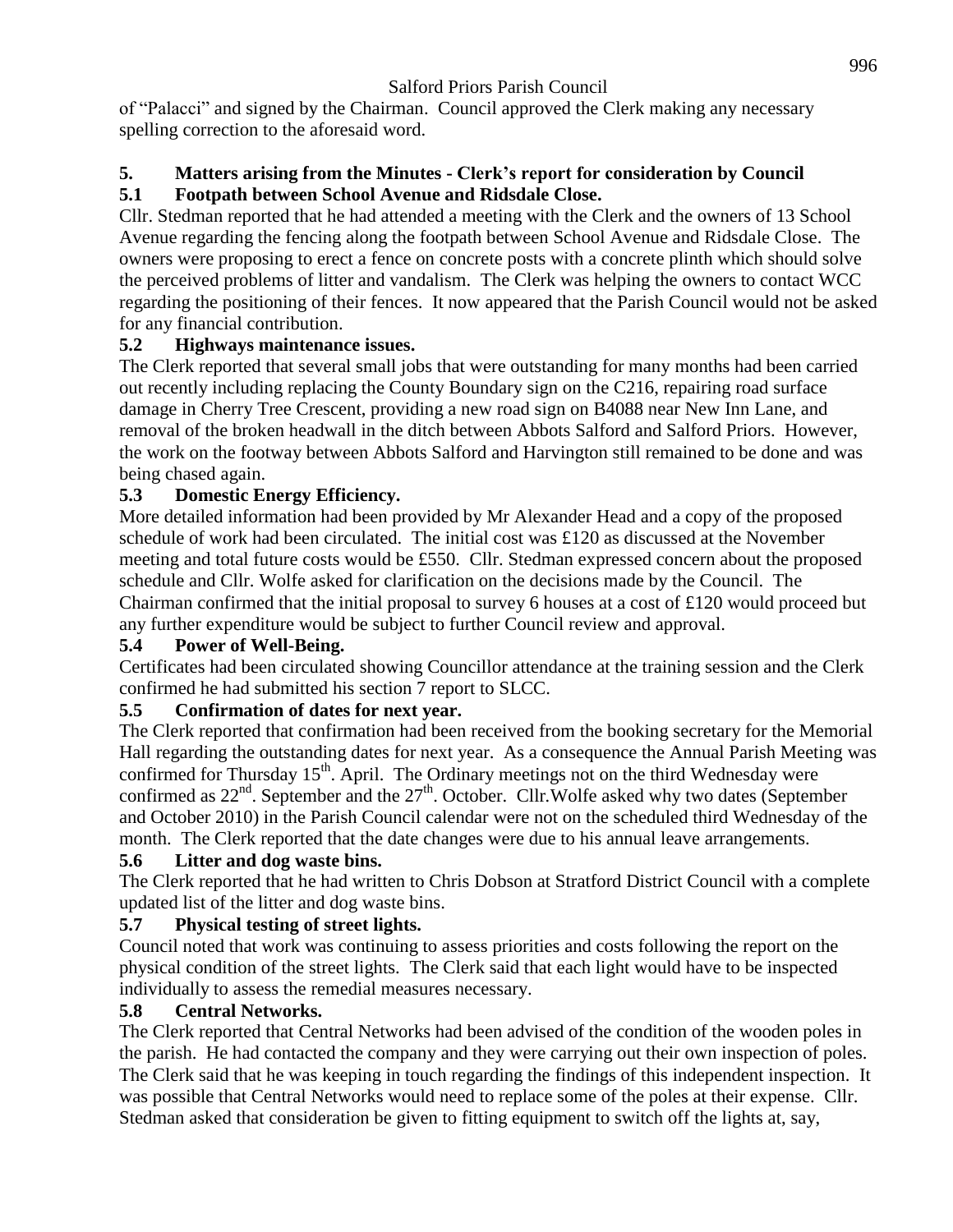of "Palacci" and signed by the Chairman. Council approved the Clerk making any necessary spelling correction to the aforesaid word.

#### **5. Matters arising from the Minutes - Clerk's report for consideration by Council 5.1 Footpath between School Avenue and Ridsdale Close.**

Cllr. Stedman reported that he had attended a meeting with the Clerk and the owners of 13 School Avenue regarding the fencing along the footpath between School Avenue and Ridsdale Close. The owners were proposing to erect a fence on concrete posts with a concrete plinth which should solve the perceived problems of litter and vandalism. The Clerk was helping the owners to contact WCC regarding the positioning of their fences. It now appeared that the Parish Council would not be asked for any financial contribution.

## **5.2 Highways maintenance issues.**

The Clerk reported that several small jobs that were outstanding for many months had been carried out recently including replacing the County Boundary sign on the C216, repairing road surface damage in Cherry Tree Crescent, providing a new road sign on B4088 near New Inn Lane, and removal of the broken headwall in the ditch between Abbots Salford and Salford Priors. However, the work on the footway between Abbots Salford and Harvington still remained to be done and was being chased again.

# **5.3 Domestic Energy Efficiency.**

More detailed information had been provided by Mr Alexander Head and a copy of the proposed schedule of work had been circulated. The initial cost was £120 as discussed at the November meeting and total future costs would be £550. Cllr. Stedman expressed concern about the proposed schedule and Cllr. Wolfe asked for clarification on the decisions made by the Council. The Chairman confirmed that the initial proposal to survey 6 houses at a cost of £120 would proceed but any further expenditure would be subject to further Council review and approval.

### **5.4 Power of Well-Being.**

Certificates had been circulated showing Councillor attendance at the training session and the Clerk confirmed he had submitted his section 7 report to SLCC.

### **5.5 Confirmation of dates for next year.**

The Clerk reported that confirmation had been received from the booking secretary for the Memorial Hall regarding the outstanding dates for next year. As a consequence the Annual Parish Meeting was confirmed for Thursday  $15<sup>th</sup>$ . April. The Ordinary meetings not on the third Wednesday were confirmed as 22<sup>nd</sup>. September and the 27<sup>th</sup>. October. Cllr. Wolfe asked why two dates (September and October 2010) in the Parish Council calendar were not on the scheduled third Wednesday of the month. The Clerk reported that the date changes were due to his annual leave arrangements.

### **5.6 Litter and dog waste bins.**

The Clerk reported that he had written to Chris Dobson at Stratford District Council with a complete updated list of the litter and dog waste bins.

# **5.7 Physical testing of street lights.**

Council noted that work was continuing to assess priorities and costs following the report on the physical condition of the street lights. The Clerk said that each light would have to be inspected individually to assess the remedial measures necessary.

### **5.8 Central Networks.**

The Clerk reported that Central Networks had been advised of the condition of the wooden poles in the parish. He had contacted the company and they were carrying out their own inspection of poles. The Clerk said that he was keeping in touch regarding the findings of this independent inspection. It was possible that Central Networks would need to replace some of the poles at their expense. Cllr. Stedman asked that consideration be given to fitting equipment to switch off the lights at, say,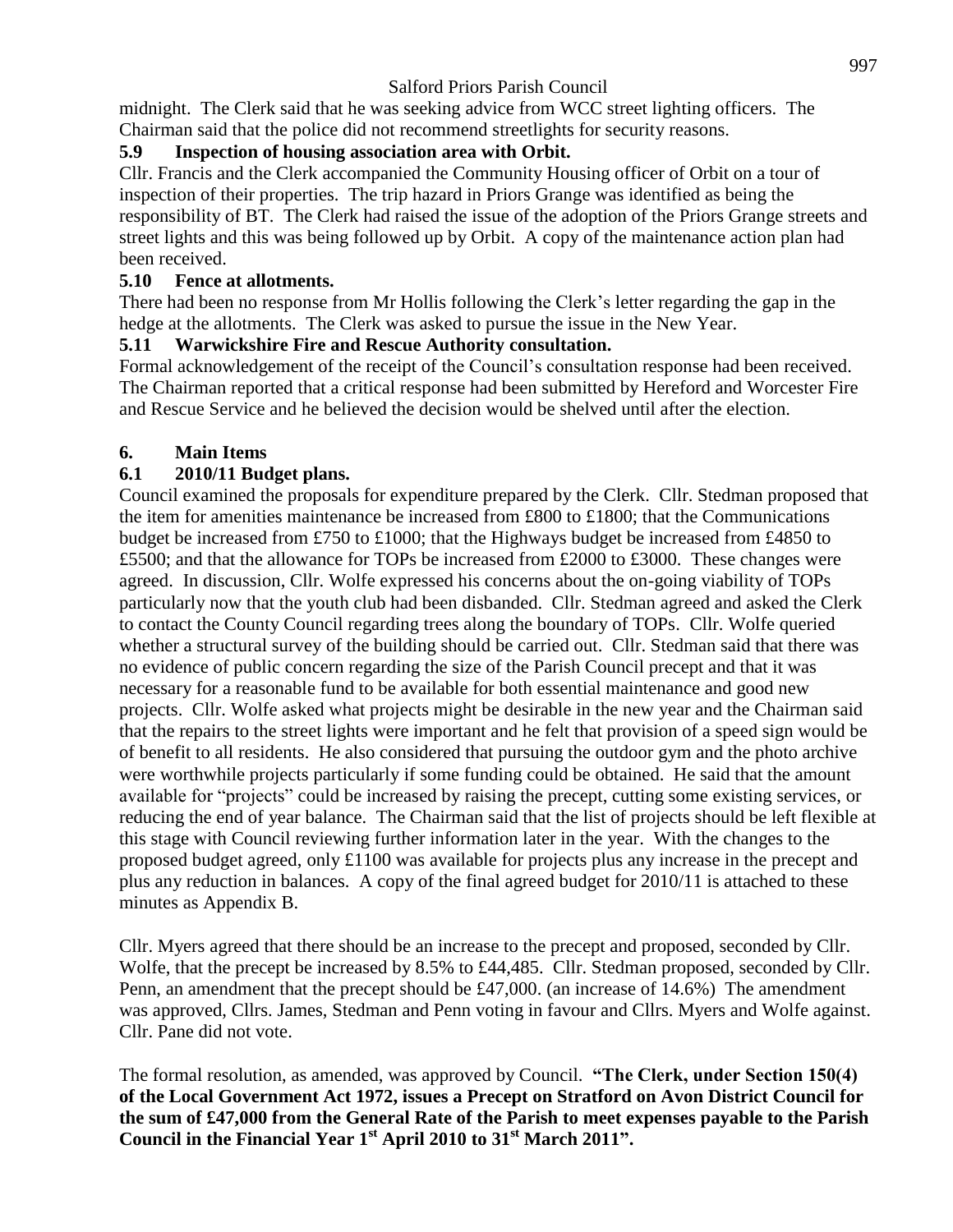midnight. The Clerk said that he was seeking advice from WCC street lighting officers. The Chairman said that the police did not recommend streetlights for security reasons.

### **5.9 Inspection of housing association area with Orbit.**

Cllr. Francis and the Clerk accompanied the Community Housing officer of Orbit on a tour of inspection of their properties. The trip hazard in Priors Grange was identified as being the responsibility of BT. The Clerk had raised the issue of the adoption of the Priors Grange streets and street lights and this was being followed up by Orbit. A copy of the maintenance action plan had been received.

### **5.10 Fence at allotments.**

There had been no response from Mr Hollis following the Clerk's letter regarding the gap in the hedge at the allotments. The Clerk was asked to pursue the issue in the New Year.

## **5.11 Warwickshire Fire and Rescue Authority consultation.**

Formal acknowledgement of the receipt of the Council's consultation response had been received. The Chairman reported that a critical response had been submitted by Hereford and Worcester Fire and Rescue Service and he believed the decision would be shelved until after the election.

## **6. Main Items**

# **6.1 2010/11 Budget plans.**

Council examined the proposals for expenditure prepared by the Clerk. Cllr. Stedman proposed that the item for amenities maintenance be increased from £800 to £1800; that the Communications budget be increased from £750 to £1000; that the Highways budget be increased from £4850 to £5500; and that the allowance for TOPs be increased from £2000 to £3000. These changes were agreed. In discussion, Cllr. Wolfe expressed his concerns about the on-going viability of TOPs particularly now that the youth club had been disbanded. Cllr. Stedman agreed and asked the Clerk to contact the County Council regarding trees along the boundary of TOPs. Cllr. Wolfe queried whether a structural survey of the building should be carried out. Cllr. Stedman said that there was no evidence of public concern regarding the size of the Parish Council precept and that it was necessary for a reasonable fund to be available for both essential maintenance and good new projects. Cllr. Wolfe asked what projects might be desirable in the new year and the Chairman said that the repairs to the street lights were important and he felt that provision of a speed sign would be of benefit to all residents. He also considered that pursuing the outdoor gym and the photo archive were worthwhile projects particularly if some funding could be obtained. He said that the amount available for "projects" could be increased by raising the precept, cutting some existing services, or reducing the end of year balance. The Chairman said that the list of projects should be left flexible at this stage with Council reviewing further information later in the year. With the changes to the proposed budget agreed, only £1100 was available for projects plus any increase in the precept and plus any reduction in balances. A copy of the final agreed budget for 2010/11 is attached to these minutes as Appendix B.

Cllr. Myers agreed that there should be an increase to the precept and proposed, seconded by Cllr. Wolfe, that the precept be increased by 8.5% to £44,485. Cllr. Stedman proposed, seconded by Cllr. Penn, an amendment that the precept should be £47,000. (an increase of 14.6%) The amendment was approved, Cllrs. James, Stedman and Penn voting in favour and Cllrs. Myers and Wolfe against. Cllr. Pane did not vote.

The formal resolution, as amended, was approved by Council. **"The Clerk, under Section 150(4) of the Local Government Act 1972, issues a Precept on Stratford on Avon District Council for the sum of £47,000 from the General Rate of the Parish to meet expenses payable to the Parish Council in the Financial Year 1st April 2010 to 31st March 2011".**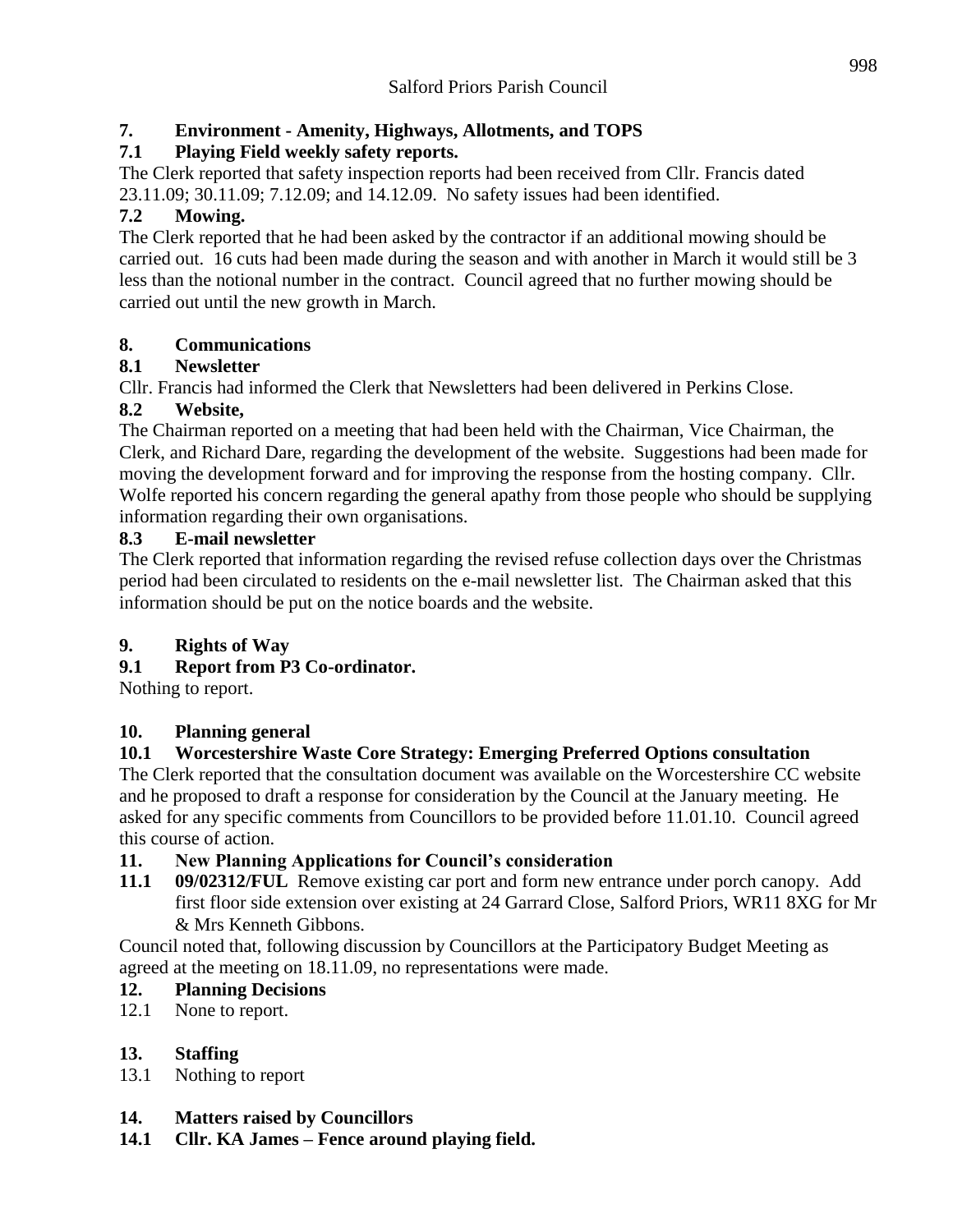# **7. Environment - Amenity, Highways, Allotments, and TOPS**

# **7.1 Playing Field weekly safety reports.**

The Clerk reported that safety inspection reports had been received from Cllr. Francis dated 23.11.09; 30.11.09; 7.12.09; and 14.12.09. No safety issues had been identified.

# **7.2 Mowing.**

The Clerk reported that he had been asked by the contractor if an additional mowing should be carried out. 16 cuts had been made during the season and with another in March it would still be 3 less than the notional number in the contract. Council agreed that no further mowing should be carried out until the new growth in March.

## **8. Communications**

# **8.1 Newsletter**

Cllr. Francis had informed the Clerk that Newsletters had been delivered in Perkins Close.

## **8.2 Website,**

The Chairman reported on a meeting that had been held with the Chairman, Vice Chairman, the Clerk, and Richard Dare, regarding the development of the website. Suggestions had been made for moving the development forward and for improving the response from the hosting company. Cllr. Wolfe reported his concern regarding the general apathy from those people who should be supplying information regarding their own organisations.

## **8.3 E-mail newsletter**

The Clerk reported that information regarding the revised refuse collection days over the Christmas period had been circulated to residents on the e-mail newsletter list. The Chairman asked that this information should be put on the notice boards and the website.

# **9. Rights of Way**

# **9.1 Report from P3 Co-ordinator.**

Nothing to report.

# **10. Planning general**

# **10.1 Worcestershire Waste Core Strategy: Emerging Preferred Options consultation**

The Clerk reported that the consultation document was available on the Worcestershire CC website and he proposed to draft a response for consideration by the Council at the January meeting. He asked for any specific comments from Councillors to be provided before 11.01.10. Council agreed this course of action.

# **11. New Planning Applications for Council's consideration**

**11.1 09/02312/FUL** Remove existing car port and form new entrance under porch canopy. Add first floor side extension over existing at 24 Garrard Close, Salford Priors, WR11 8XG for Mr & Mrs Kenneth Gibbons.

Council noted that, following discussion by Councillors at the Participatory Budget Meeting as agreed at the meeting on 18.11.09, no representations were made.

# **12. Planning Decisions**

12.1 None to report.

# **13. Staffing**

13.1 Nothing to report

### **14. Matters raised by Councillors**

**14.1 Cllr. KA James – Fence around playing field.**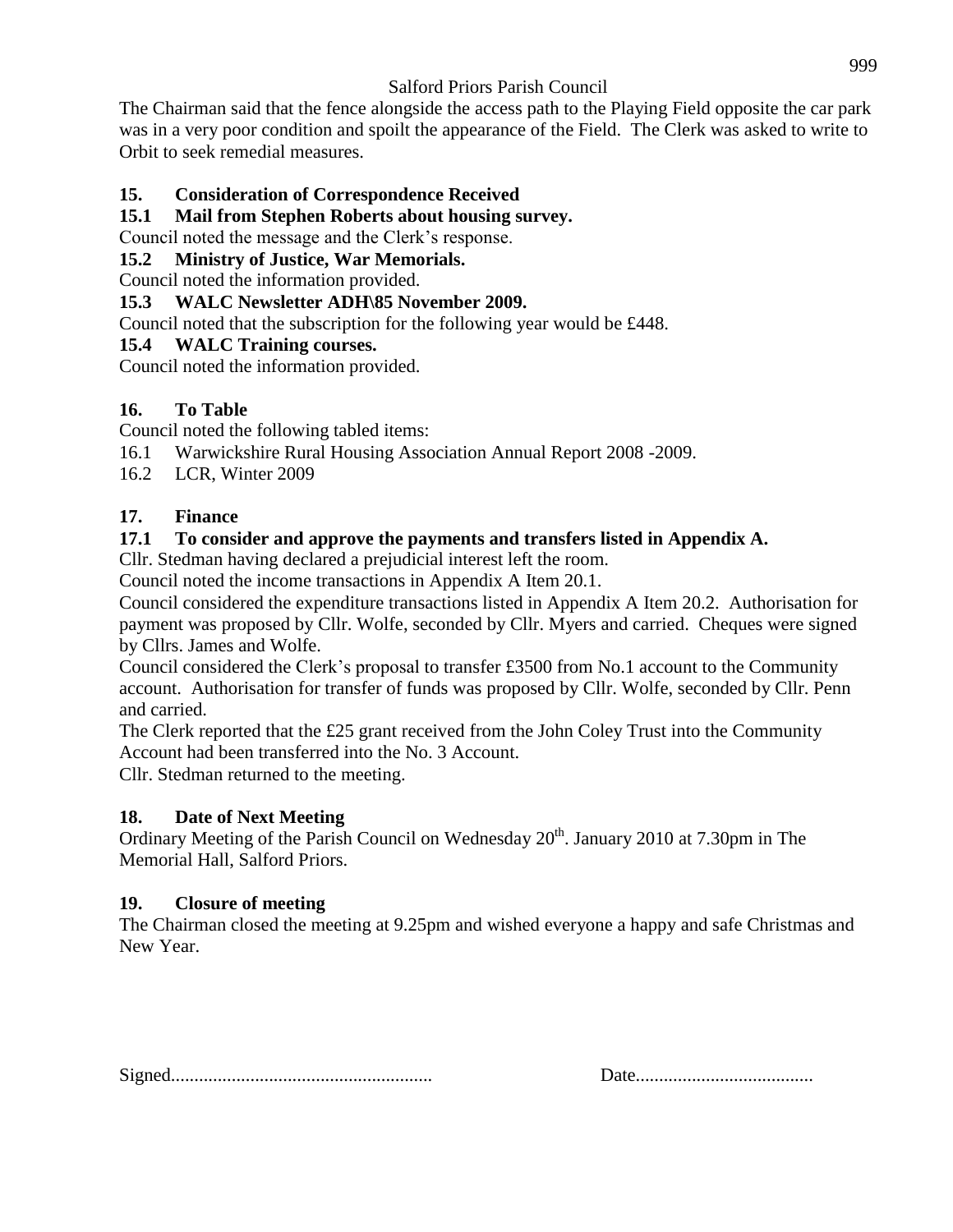The Chairman said that the fence alongside the access path to the Playing Field opposite the car park was in a very poor condition and spoilt the appearance of the Field. The Clerk was asked to write to Orbit to seek remedial measures.

### **15. Consideration of Correspondence Received**

### **15.1 Mail from Stephen Roberts about housing survey.**

Council noted the message and the Clerk's response.

### **15.2 Ministry of Justice, War Memorials.**

Council noted the information provided.

### **15.3 WALC Newsletter ADH\85 November 2009.**

Council noted that the subscription for the following year would be £448.

### **15.4 WALC Training courses.**

Council noted the information provided.

### **16. To Table**

Council noted the following tabled items:

- 16.1 Warwickshire Rural Housing Association Annual Report 2008 -2009.
- 16.2 LCR, Winter 2009

### **17. Finance**

### **17.1 To consider and approve the payments and transfers listed in Appendix A.**

Cllr. Stedman having declared a prejudicial interest left the room.

Council noted the income transactions in Appendix A Item 20.1.

Council considered the expenditure transactions listed in Appendix A Item 20.2. Authorisation for payment was proposed by Cllr. Wolfe, seconded by Cllr. Myers and carried. Cheques were signed by Cllrs. James and Wolfe.

Council considered the Clerk's proposal to transfer £3500 from No.1 account to the Community account. Authorisation for transfer of funds was proposed by Cllr. Wolfe, seconded by Cllr. Penn and carried.

The Clerk reported that the £25 grant received from the John Coley Trust into the Community Account had been transferred into the No. 3 Account.

Cllr. Stedman returned to the meeting.

### **18. Date of Next Meeting**

Ordinary Meeting of the Parish Council on Wednesday  $20^{th}$ . January 2010 at 7.30pm in The Memorial Hall, Salford Priors.

#### **19. Closure of meeting**

The Chairman closed the meeting at 9.25pm and wished everyone a happy and safe Christmas and New Year.

Signed........................................................ Date......................................